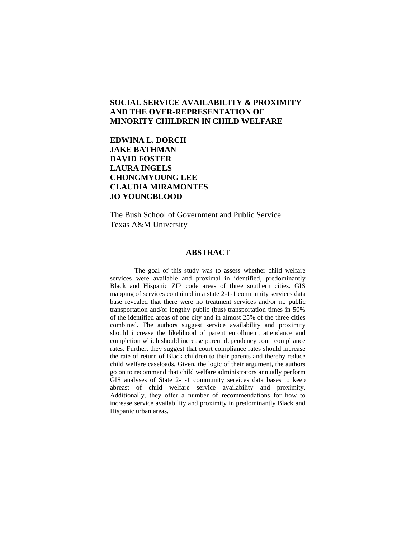# **SOCIAL SERVICE AVAILABILITY & PROXIMITY AND THE OVER-REPRESENTATION OF MINORITY CHILDREN IN CHILD WELFARE**

# **EDWINA L. DORCH JAKE BATHMAN DAVID FOSTER LAURA INGELS CHONGMYOUNG LEE CLAUDIA MIRAMONTES JO YOUNGBLOOD**

The Bush School of Government and Public Service Texas A&M University

#### **ABSTRAC**T

The goal of this study was to assess whether child welfare services were available and proximal in identified, predominantly Black and Hispanic ZIP code areas of three southern cities. GIS mapping of services contained in a state 2-1-1 community services data base revealed that there were no treatment services and/or no public transportation and/or lengthy public (bus) transportation times in 50% of the identified areas of one city and in almost 25% of the three cities combined. The authors suggest service availability and proximity should increase the likelihood of parent enrollment, attendance and completion which should increase parent dependency court compliance rates. Further, they suggest that court compliance rates should increase the rate of return of Black children to their parents and thereby reduce child welfare caseloads. Given, the logic of their argument, the authors go on to recommend that child welfare administrators annually perform GIS analyses of State 2-1-1 community services data bases to keep abreast of child welfare service availability and proximity. Additionally, they offer a number of recommendations for how to increase service availability and proximity in predominantly Black and Hispanic urban areas.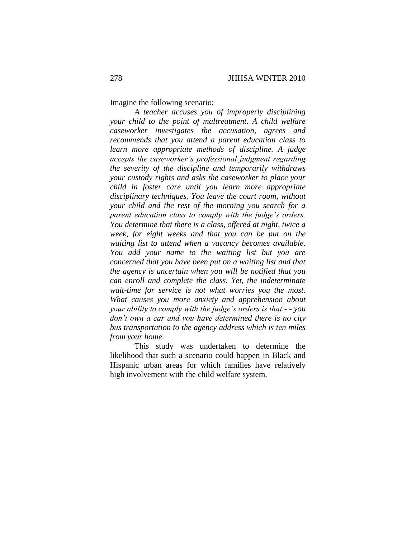Imagine the following scenario:

*A teacher accuses you of improperly disciplining your child to the point of maltreatment. A child welfare caseworker investigates the accusation, agrees and recommends that you attend a parent education class to learn more appropriate methods of discipline. A judge accepts the caseworker's professional judgment regarding the severity of the discipline and temporarily withdraws your custody rights and asks the caseworker to place your child in foster care until you learn more appropriate disciplinary techniques. You leave the court room, without your child and the rest of the morning you search for a parent education class to comply with the judge's orders. You determine that there is a class, offered at night, twice a week, for eight weeks and that you can be put on the waiting list to attend when a vacancy becomes available. You add your name to the waiting list but you are concerned that you have been put on a waiting list and that the agency is uncertain when you will be notified that you can enroll and complete the class. Yet, the indeterminate wait-time for service is not what worries you the most. What causes you more anxiety and apprehension about your ability to comply with the judge's orders is that - - you don't own a car and you have determined there is no city bus transportation to the agency address which is ten miles from your home*.

This study was undertaken to determine the likelihood that such a scenario could happen in Black and Hispanic urban areas for which families have relatively high involvement with the child welfare system.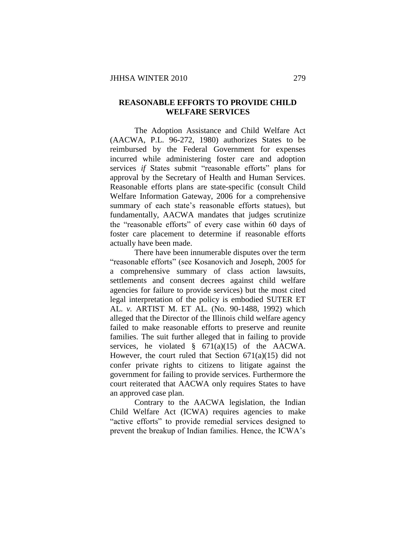# **REASONABLE EFFORTS TO PROVIDE CHILD WELFARE SERVICES**

The Adoption Assistance and Child Welfare Act (AACWA, P.L. 96-272, 1980) authorizes States to be reimbursed by the Federal Government for expenses incurred while administering foster care and adoption services *if* States submit "reasonable efforts" plans for approval by the Secretary of Health and Human Services. Reasonable efforts plans are state-specific (consult Child Welfare Information Gateway, 2006 for a comprehensive summary of each state's reasonable efforts statues), but fundamentally, AACWA mandates that judges scrutinize the "reasonable efforts" of every case within 60 days of foster care placement to determine if reasonable efforts actually have been made.

There have been innumerable disputes over the term "reasonable efforts" (see Kosanovich and Joseph, 2005 for a comprehensive summary of class action lawsuits, settlements and consent decrees against child welfare agencies for failure to provide services) but the most cited legal interpretation of the policy is embodied SUTER ET AL. *v.* ARTIST M. ET AL. (No. 90-1488, 1992) which alleged that the Director of the Illinois child welfare agency failed to make reasonable efforts to preserve and reunite families. The suit further alleged that in failing to provide services, he violated  $\S$  671(a)(15) of the AACWA. However, the court ruled that Section 671(a)(15) did not confer private rights to citizens to litigate against the government for failing to provide services. Furthermore the court reiterated that AACWA only requires States to have an approved case plan.

Contrary to the AACWA legislation, the Indian Child Welfare Act (ICWA) requires agencies to make "active efforts" to provide remedial services designed to prevent the breakup of Indian families. Hence, the ICWA's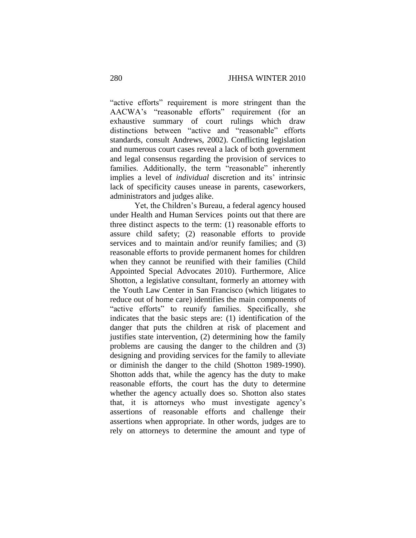"active efforts" requirement is more stringent than the AACWA's "reasonable efforts" requirement (for an exhaustive summary of court rulings which draw distinctions between "active and "reasonable" efforts standards, consult Andrews, 2002). Conflicting legislation and numerous court cases reveal a lack of both government and legal consensus regarding the provision of services to families. Additionally, the term "reasonable" inherently implies a level of *individual* discretion and its' intrinsic lack of specificity causes unease in parents, caseworkers, administrators and judges alike.

Yet, the Children's Bureau, a federal agency housed under Health and Human Services points out that there are three distinct aspects to the term: (1) reasonable efforts to assure child safety; (2) reasonable efforts to provide services and to maintain and/or reunify families; and (3) reasonable efforts to provide permanent homes for children when they cannot be reunified with their families (Child Appointed Special Advocates 2010). Furthermore, Alice Shotton, a legislative consultant, formerly an attorney with the Youth Law Center in San Francisco (which litigates to reduce out of home care) identifies the main components of "active efforts" to reunify families. Specifically, she indicates that the basic steps are: (1) identification of the danger that puts the children at risk of placement and justifies state intervention, (2) determining how the family problems are causing the danger to the children and (3) designing and providing services for the family to alleviate or diminish the danger to the child (Shotton 1989-1990). Shotton adds that, while the agency has the duty to make reasonable efforts, the court has the duty to determine whether the agency actually does so. Shotton also states that, it is attorneys who must investigate agency's assertions of reasonable efforts and challenge their assertions when appropriate. In other words, judges are to rely on attorneys to determine the amount and type of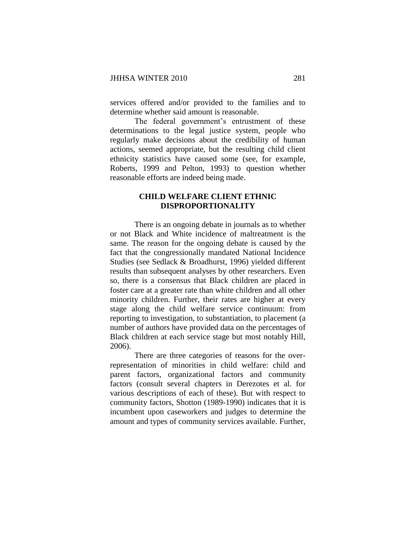services offered and/or provided to the families and to determine whether said amount is reasonable.

The federal government's entrustment of these determinations to the legal justice system, people who regularly make decisions about the credibility of human actions, seemed appropriate, but the resulting child client ethnicity statistics have caused some (see, for example, Roberts, 1999 and Pelton, 1993) to question whether reasonable efforts are indeed being made.

# **CHILD WELFARE CLIENT ETHNIC DISPROPORTIONALITY**

There is an ongoing debate in journals as to whether or not Black and White incidence of maltreatment is the same. The reason for the ongoing debate is caused by the fact that the congressionally mandated National Incidence Studies (see Sedlack & Broadhurst, 1996) yielded different results than subsequent analyses by other researchers. Even so, there is a consensus that Black children are placed in foster care at a greater rate than white children and all other minority children. Further, their rates are higher at every stage along the child welfare service continuum: from reporting to investigation, to substantiation, to placement (a number of authors have provided data on the percentages of Black children at each service stage but most notably Hill, 2006).

There are three categories of reasons for the overrepresentation of minorities in child welfare: child and parent factors, organizational factors and community factors (consult several chapters in Derezotes et al. for various descriptions of each of these). But with respect to community factors, Shotton (1989-1990) indicates that it is incumbent upon caseworkers and judges to determine the amount and types of community services available. Further,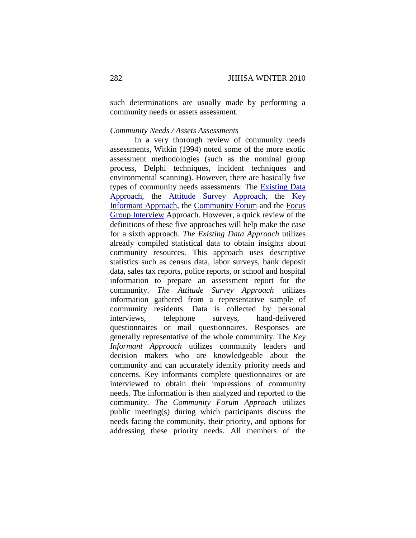such determinations are usually made by performing a community needs or assets assessment.

#### *Community Needs / Assets Assessments*

In a very thorough review of community needs assessments, Witkin (1994) noted some of the more exotic assessment methodologies (such as the nominal group process, Delphi techniques, incident techniques and environmental scanning). However, there are basically five types of community needs assessments: The [Existing Data](http://www.extension.iastate.edu/communities/tools/assess/existing.html)  [Approach,](http://www.extension.iastate.edu/communities/tools/assess/existing.html) the [Attitude Survey Approach,](http://www.extension.iastate.edu/communities/tools/assess/attitude.html) the [Key](http://www.extension.iastate.edu/communities/tools/assess/key.html)  [Informant Approach,](http://www.extension.iastate.edu/communities/tools/assess/key.html) the [Community Forum](http://www.extension.iastate.edu/communities/tools/assess/community.html) and the [Focus](http://www.extension.iastate.edu/communities/tools/assess/focus.html)  [Group Interview](http://www.extension.iastate.edu/communities/tools/assess/focus.html) Approach. However, a quick review of the definitions of these five approaches will help make the case for a sixth approach. *The Existing Data Approach* utilizes already compiled statistical data to obtain insights about community resources. This approach uses descriptive statistics such as census data, labor surveys, bank deposit data, sales tax reports, police reports, or school and hospital information to prepare an assessment report for the community. *The Attitude Survey Approach* utilizes information gathered from a representative sample of community residents. Data is collected by personal interviews, telephone surveys, hand-delivered questionnaires or mail questionnaires. Responses are generally representative of the whole community. The *Key Informant Approach* utilizes community leaders and decision makers who are knowledgeable about the community and can accurately identify priority needs and concerns. Key informants complete questionnaires or are interviewed to obtain their impressions of community needs. The information is then analyzed and reported to the community. *The Community Forum Approach* utilizes public meeting(s) during which participants discuss the needs facing the community, their priority, and options for addressing these priority needs. All members of the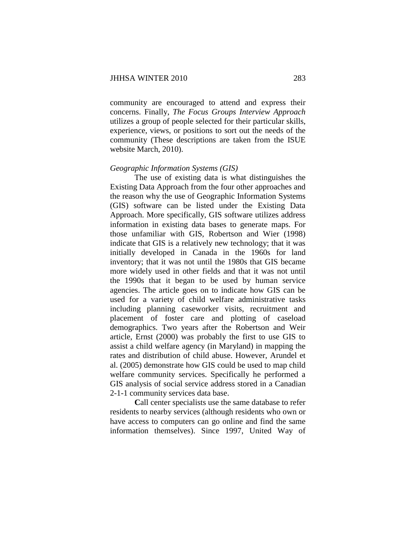community are encouraged to attend and express their concerns. Finally, *The Focus Groups Interview Approach* utilizes a group of people selected for their particular skills, experience, views, or positions to sort out the needs of the community (These descriptions are taken from the ISUE website March, 2010).

#### *Geographic Information Systems (GIS)*

The use of existing data is what distinguishes the Existing Data Approach from the four other approaches and the reason why the use of Geographic Information Systems (GIS) software can be listed under the Existing Data Approach. More specifically, GIS software utilizes address information in existing data bases to generate maps. For those unfamiliar with GIS, Robertson and Wier (1998) indicate that GIS is a relatively new technology; that it was initially developed in Canada in the 1960s for land inventory; that it was not until the 1980s that GIS became more widely used in other fields and that it was not until the 1990s that it began to be used by human service agencies. The article goes on to indicate how GIS can be used for a variety of child welfare administrative tasks including planning caseworker visits, recruitment and placement of foster care and plotting of caseload demographics. Two years after the Robertson and Weir article, Ernst (2000) was probably the first to use GIS to assist a child welfare agency (in Maryland) in mapping the rates and distribution of child abuse. However, Arundel et al. (2005) demonstrate how GIS could be used to map child welfare community services. Specifically he performed a GIS analysis of social service address stored in a Canadian 2-1-1 community services data base.

**C**all center specialists use the same database to refer residents to nearby services (although residents who own or have access to computers can go online and find the same information themselves). Since 1997, United Way of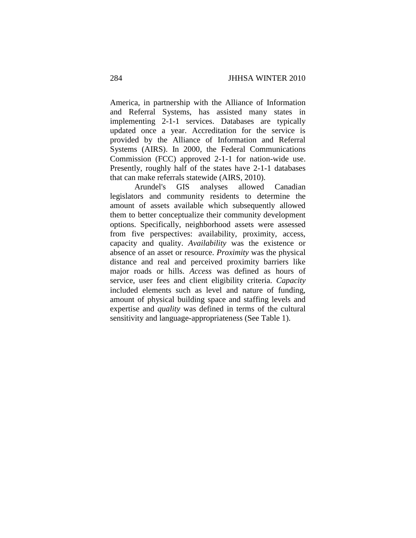America, in partnership with the Alliance of Information and Referral Systems, has assisted many states in implementing 2-1-1 services. Databases are typically updated once a year. Accreditation for the service is provided by the Alliance of Information and Referral Systems (AIRS). In 2000, the Federal Communications Commission (FCC) approved 2-1-1 for nation-wide use. Presently, roughly half of the states have 2-1-1 databases that can make referrals statewide (AIRS, 2010).

Arundel's GIS analyses allowed Canadian legislators and community residents to determine the amount of assets available which subsequently allowed them to better conceptualize their community development options. Specifically, neighborhood assets were assessed from five perspectives: availability, proximity, access, capacity and quality. *Availability* was the existence or absence of an asset or resource. *Proximity* was the physical distance and real and perceived proximity barriers like major roads or hills. *Access* was defined as hours of service, user fees and client eligibility criteria. *Capacity* included elements such as level and nature of funding, amount of physical building space and staffing levels and expertise and *quality* was defined in terms of the cultural sensitivity and language-appropriateness (See Table 1).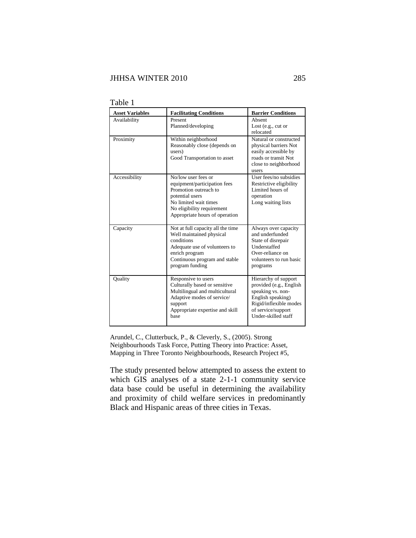| <b>Asset Variables</b> | <b>Facilitating Conditions</b>                                                                                                                                                           | <b>Barrier Conditions</b>                                                                                                                                        |
|------------------------|------------------------------------------------------------------------------------------------------------------------------------------------------------------------------------------|------------------------------------------------------------------------------------------------------------------------------------------------------------------|
| Availability           | Present<br>Planned/developing                                                                                                                                                            | Absent<br>Lost (e.g., cut or<br>relocated                                                                                                                        |
| Proximity              | Within neighborhood<br>Reasonably close (depends on<br>users)<br>Good Transportation to asset                                                                                            | Natural or constructed<br>physical barriers Not<br>easily accessible by<br>roads or transit Not<br>close to neighborhood<br>users                                |
| Accessibility          | No/low user fees or<br>equipment/participation fees<br>Promotion outreach to<br>potential users<br>No limited wait times<br>No eligibility requirement<br>Appropriate hours of operation | User fees/no subsidies<br>Restrictive eligibility<br>Limited hours of<br>operation<br>Long waiting lists                                                         |
| Capacity               | Not at full capacity all the time<br>Well maintained physical<br>conditions<br>Adequate use of volunteers to<br>enrich program<br>Continuous program and stable<br>program funding       | Always over capacity<br>and underfunded<br>State of disrepair<br>Understaffed<br>Over-reliance on<br>volunteers to run basic<br>programs                         |
| Quality                | Responsive to users<br>Culturally based or sensitive<br>Multilingual and multicultural<br>Adaptive modes of service/<br>support<br>Appropriate expertise and skill<br>base               | Hierarchy of support<br>provided (e.g., English<br>speaking vs. non-<br>English speaking)<br>Rigid/inflexible modes<br>of service/support<br>Under-skilled staff |

Table 1

Arundel, C., Clutterbuck, P., & Cleverly, S., (2005). Strong Neighbourhoods Task Force, Putting Theory into Practice: Asset, Mapping in Three Toronto Neighbourhoods, Research Project #5,

The study presented below attempted to assess the extent to which GIS analyses of a state 2-1-1 community service data base could be useful in determining the availability and proximity of child welfare services in predominantly Black and Hispanic areas of three cities in Texas.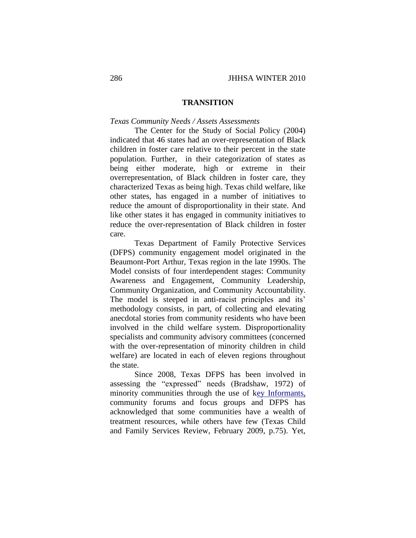## **TRANSITION**

## *Texas Community Needs / Assets Assessments*

The Center for the Study of Social Policy (2004) indicated that 46 states had an over-representation of Black children in foster care relative to their percent in the state population. Further, in their categorization of states as being either moderate, high or extreme in their overrepresentation, of Black children in foster care, they characterized Texas as being high. Texas child welfare, like other states, has engaged in a number of initiatives to reduce the amount of disproportionality in their state. And like other states it has engaged in community initiatives to reduce the over-representation of Black children in foster care.

Texas Department of Family Protective Services (DFPS) community engagement model originated in the Beaumont-Port Arthur, Texas region in the late 1990s. The Model consists of four interdependent stages: Community Awareness and Engagement, Community Leadership, Community Organization, and Community Accountability. The model is steeped in anti-racist principles and its' methodology consists, in part, of collecting and elevating anecdotal stories from community residents who have been involved in the child welfare system. Disproportionality specialists and community advisory committees (concerned with the over-representation of minority children in child welfare) are located in each of eleven regions throughout the state.

Since 2008, Texas DFPS has been involved in assessing the "expressed" needs (Bradshaw, 1972) of minority communities through the use of [key Informants,](http://www.extension.iastate.edu/communities/tools/assess/key.html)  community forums and focus groups and DFPS has acknowledged that some communities have a wealth of treatment resources, while others have few (Texas Child and Family Services Review, February 2009, p.75). Yet,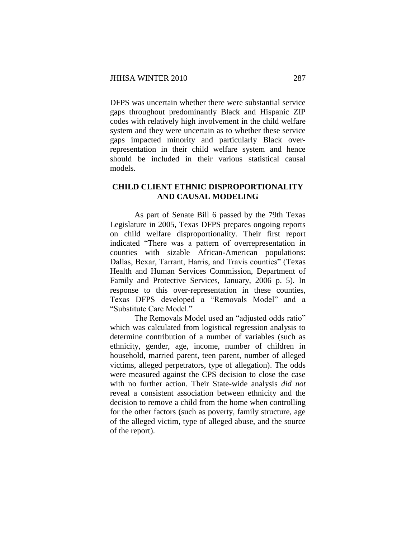DFPS was uncertain whether there were substantial service gaps throughout predominantly Black and Hispanic ZIP codes with relatively high involvement in the child welfare system and they were uncertain as to whether these service gaps impacted minority and particularly Black overrepresentation in their child welfare system and hence should be included in their various statistical causal models.

# **CHILD CLIENT ETHNIC DISPROPORTIONALITY AND CAUSAL MODELING**

As part of Senate Bill 6 passed by the 79th Texas Legislature in 2005, Texas DFPS prepares ongoing reports on child welfare disproportionality. Their first report indicated "There was a pattern of overrepresentation in counties with sizable African-American populations: Dallas, Bexar, Tarrant, Harris, and Travis counties" (Texas Health and Human Services Commission, Department of Family and Protective Services, January, 2006 p. 5). In response to this over-representation in these counties, Texas DFPS developed a "Removals Model" and a "Substitute Care Model."

The Removals Model used an "adjusted odds ratio" which was calculated from logistical regression analysis to determine contribution of a number of variables (such as ethnicity, gender, age, income, number of children in household, married parent, teen parent, number of alleged victims, alleged perpetrators, type of allegation). The odds were measured against the CPS decision to close the case with no further action. Their State-wide analysis *did not* reveal a consistent association between ethnicity and the decision to remove a child from the home when controlling for the other factors (such as poverty, family structure, age of the alleged victim, type of alleged abuse, and the source of the report).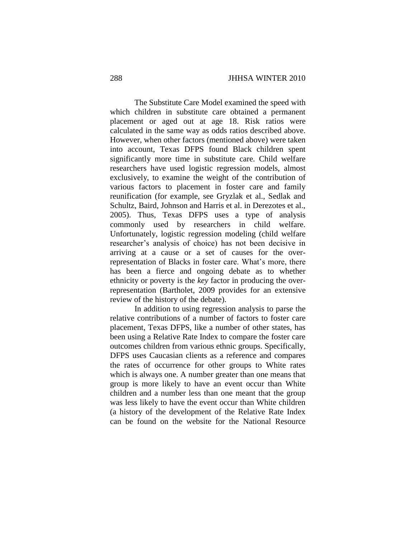The Substitute Care Model examined the speed with which children in substitute care obtained a permanent placement or aged out at age 18. Risk ratios were calculated in the same way as odds ratios described above. However, when other factors (mentioned above) were taken into account, Texas DFPS found Black children spent significantly more time in substitute care. Child welfare researchers have used logistic regression models, almost exclusively, to examine the weight of the contribution of various factors to placement in foster care and family reunification (for example, see Gryzlak et al., Sedlak and Schultz, Baird, Johnson and Harris et al. in Derezotes et al., 2005). Thus, Texas DFPS uses a type of analysis commonly used by researchers in child welfare. Unfortunately, logistic regression modeling (child welfare researcher's analysis of choice) has not been decisive in arriving at a cause or a set of causes for the overrepresentation of Blacks in foster care. What's more, there has been a fierce and ongoing debate as to whether ethnicity or poverty is the *key* factor in producing the overrepresentation (Bartholet, 2009 provides for an extensive review of the history of the debate).

In addition to using regression analysis to parse the relative contributions of a number of factors to foster care placement, Texas DFPS, like a number of other states, has been using a Relative Rate Index to compare the foster care outcomes children from various ethnic groups. Specifically, DFPS uses Caucasian clients as a reference and compares the rates of occurrence for other groups to White rates which is always one. A number greater than one means that group is more likely to have an event occur than White children and a number less than one meant that the group was less likely to have the event occur than White children (a history of the development of the Relative Rate Index can be found on the website for the National Resource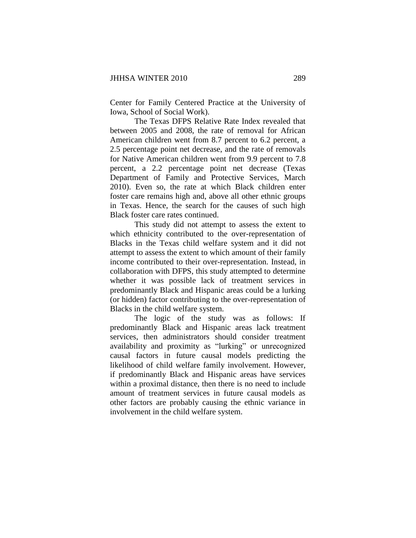Center for Family Centered Practice at the University of Iowa, School of Social Work).

The Texas DFPS Relative Rate Index revealed that between 2005 and 2008, the rate of removal for African American children went from 8.7 percent to 6.2 percent, a 2.5 percentage point net decrease, and the rate of removals for Native American children went from 9.9 percent to 7.8 percent, a 2.2 percentage point net decrease (Texas Department of Family and Protective Services, March 2010). Even so, the rate at which Black children enter foster care remains high and, above all other ethnic groups in Texas. Hence, the search for the causes of such high Black foster care rates continued.

This study did not attempt to assess the extent to which ethnicity contributed to the over-representation of Blacks in the Texas child welfare system and it did not attempt to assess the extent to which amount of their family income contributed to their over-representation. Instead, in collaboration with DFPS, this study attempted to determine whether it was possible lack of treatment services in predominantly Black and Hispanic areas could be a lurking (or hidden) factor contributing to the over-representation of Blacks in the child welfare system.

The logic of the study was as follows: If predominantly Black and Hispanic areas lack treatment services, then administrators should consider treatment availability and proximity as "lurking" or unrecognized causal factors in future causal models predicting the likelihood of child welfare family involvement. However, if predominantly Black and Hispanic areas have services within a proximal distance, then there is no need to include amount of treatment services in future causal models as other factors are probably causing the ethnic variance in involvement in the child welfare system.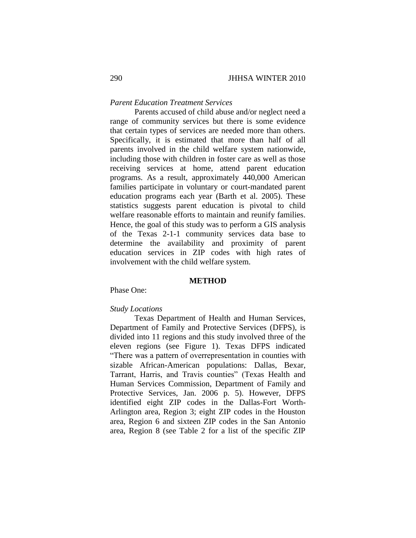# *Parent Education Treatment Services*

Parents accused of child abuse and/or neglect need a range of community services but there is some evidence that certain types of services are needed more than others. Specifically, it is estimated that more than half of all parents involved in the child welfare system nationwide, including those with children in foster care as well as those receiving services at home, attend parent education programs. As a result, approximately 440,000 American families participate in voluntary or court-mandated parent education programs each year (Barth et al. 2005). These statistics suggests parent education is pivotal to child welfare reasonable efforts to maintain and reunify families. Hence, the goal of this study was to perform a GIS analysis of the Texas 2-1-1 community services data base to determine the availability and proximity of parent education services in ZIP codes with high rates of involvement with the child welfare system.

# **METHOD**

Phase One:

#### *Study Locations*

Texas Department of Health and Human Services, Department of Family and Protective Services (DFPS), is divided into 11 regions and this study involved three of the eleven regions (see Figure 1). Texas DFPS indicated "There was a pattern of overrepresentation in counties with sizable African-American populations: Dallas, Bexar, Tarrant, Harris, and Travis counties" (Texas Health and Human Services Commission, Department of Family and Protective Services, Jan. 2006 p. 5). However, DFPS identified eight ZIP codes in the Dallas-Fort Worth-Arlington area, Region 3; eight ZIP codes in the Houston area, Region 6 and sixteen ZIP codes in the San Antonio area, Region 8 (see Table 2 for a list of the specific ZIP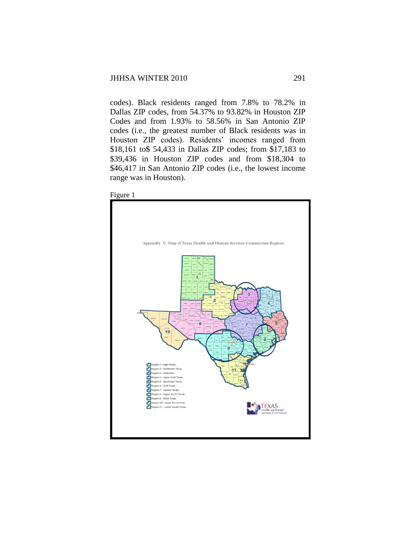codes). Black residents ranged from 7.8% to 78.2% in Dallas ZIP codes, from 54.37% to 93.82% in Houston ZIP Codes and from 1.93% to 58.56% in San Antonio ZIP codes (i.e., the greatest number of Black residents was in Houston ZIP codes). Residents' incomes ranged from \$18,161 to\$ 54,433 in Dallas ZIP codes; from \$17,183 to \$39,436 in Houston ZIP codes and from \$18,304 to \$46,417 in San Antonio ZIP codes (i.e., the lowest income range was in Houston).

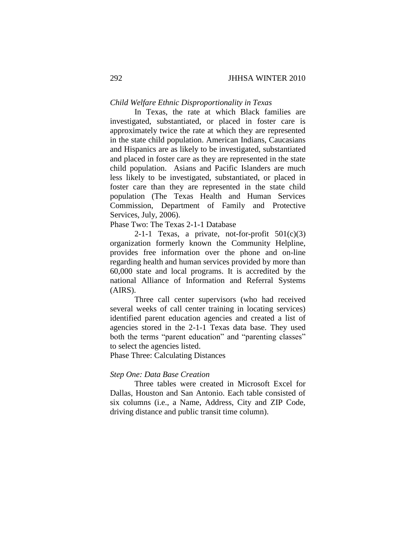## *Child Welfare Ethnic Disproportionality in Texas*

In Texas, the rate at which Black families are investigated, substantiated, or placed in foster care is approximately twice the rate at which they are represented in the state child population. American Indians, Caucasians and Hispanics are as likely to be investigated, substantiated and placed in foster care as they are represented in the state child population. Asians and Pacific Islanders are much less likely to be investigated, substantiated, or placed in foster care than they are represented in the state child population (The Texas Health and Human Services Commission, Department of Family and Protective Services, July, 2006).

Phase Two: The Texas 2-1-1 Database

2-1-1 Texas, a private, not-for-profit  $501(c)(3)$ organization formerly known the Community Helpline, provides free information over the phone and on-line regarding health and human services provided by more than 60,000 state and local programs. It is accredited by the national Alliance of Information and Referral Systems (AIRS).

Three call center supervisors (who had received several weeks of call center training in locating services) identified parent education agencies and created a list of agencies stored in the 2-1-1 Texas data base. They used both the terms "parent education" and "parenting classes" to select the agencies listed.

Phase Three: Calculating Distances

#### *Step One: Data Base Creation*

Three tables were created in Microsoft Excel for Dallas, Houston and San Antonio. Each table consisted of six columns (i.e., a Name, Address, City and ZIP Code, driving distance and public transit time column).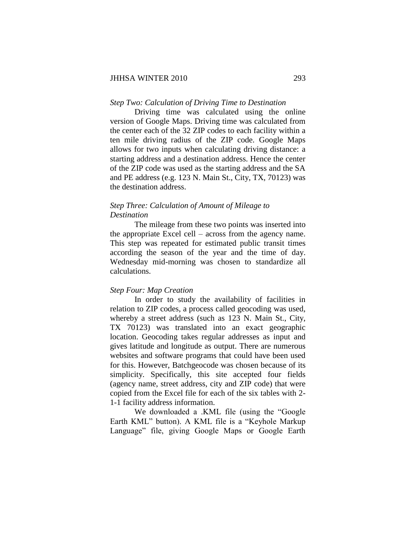#### *Step Two: Calculation of Driving Time to Destination*

Driving time was calculated using the online version of Google Maps. Driving time was calculated from the center each of the 32 ZIP codes to each facility within a ten mile driving radius of the ZIP code. Google Maps allows for two inputs when calculating driving distance: a starting address and a destination address. Hence the center of the ZIP code was used as the starting address and the SA and PE address (e.g. 123 N. Main St., City, TX, 70123) was the destination address.

# *Step Three: Calculation of Amount of Mileage to Destination*

The mileage from these two points was inserted into the appropriate Excel cell – across from the agency name. This step was repeated for estimated public transit times according the season of the year and the time of day. Wednesday mid-morning was chosen to standardize all calculations.

#### *Step Four: Map Creation*

In order to study the availability of facilities in relation to ZIP codes, a process called geocoding was used, whereby a street address (such as 123 N. Main St., City, TX 70123) was translated into an exact geographic location. Geocoding takes regular addresses as input and gives latitude and longitude as output. There are numerous websites and software programs that could have been used for this. However, Batchgeocode was chosen because of its simplicity. Specifically, this site accepted four fields (agency name, street address, city and ZIP code) that were copied from the Excel file for each of the six tables with 2- 1-1 facility address information.

We downloaded a .KML file (using the "Google Earth KML" button). A KML file is a "Keyhole Markup Language" file, giving Google Maps or Google Earth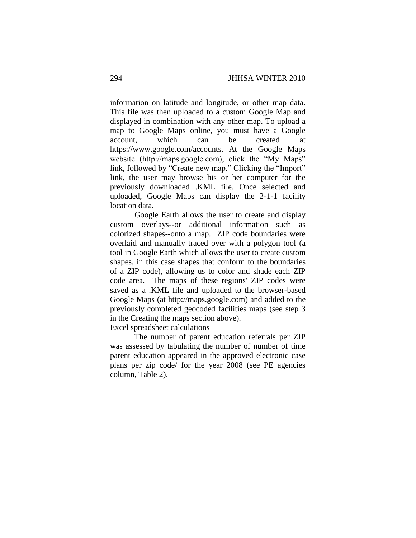information on latitude and longitude, or other map data. This file was then uploaded to a custom Google Map and displayed in combination with any other map. To upload a map to Google Maps online, you must have a Google account, which can be created at https://www.google.com/accounts. At the Google Maps website (http://maps.google.com), click the "My Maps" link, followed by "Create new map." Clicking the "Import" link, the user may browse his or her computer for the previously downloaded .KML file. Once selected and uploaded, Google Maps can display the 2-1-1 facility location data.

Google Earth allows the user to create and display custom overlays--or additional information such as colorized shapes--onto a map. ZIP code boundaries were overlaid and manually traced over with a polygon tool (a tool in Google Earth which allows the user to create custom shapes, in this case shapes that conform to the boundaries of a ZIP code), allowing us to color and shade each ZIP code area. The maps of these regions' ZIP codes were saved as a .KML file and uploaded to the browser-based Google Maps (at http://maps.google.com) and added to the previously completed geocoded facilities maps (see step 3 in the Creating the maps section above).

Excel spreadsheet calculations

The number of parent education referrals per ZIP was assessed by tabulating the number of number of time parent education appeared in the approved electronic case plans per zip code/ for the year 2008 (see PE agencies column, Table 2).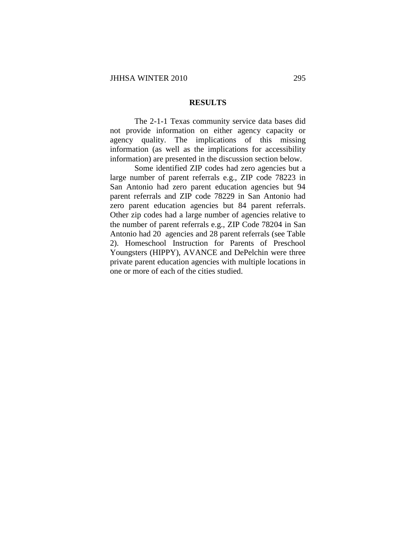#### **RESULTS**

The 2-1-1 Texas community service data bases did not provide information on either agency capacity or agency quality. The implications of this missing information (as well as the implications for accessibility information) are presented in the discussion section below.

Some identified ZIP codes had zero agencies but a large number of parent referrals e.g., ZIP code 78223 in San Antonio had zero parent education agencies but 94 parent referrals and ZIP code 78229 in San Antonio had zero parent education agencies but 84 parent referrals. Other zip codes had a large number of agencies relative to the number of parent referrals e.g., ZIP Code 78204 in San Antonio had 20 agencies and 28 parent referrals (see Table 2). Homeschool Instruction for Parents of Preschool Youngsters (HIPPY), AVANCE and DePelchin were three private parent education agencies with multiple locations in one or more of each of the cities studied.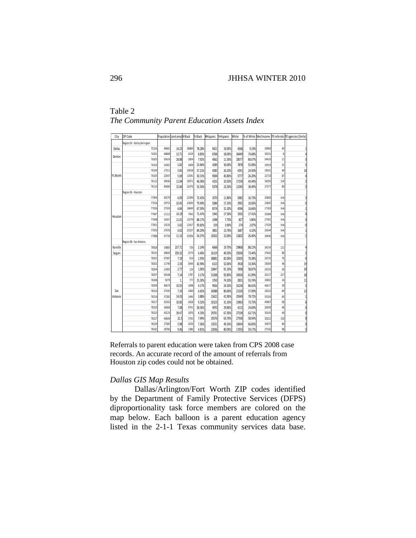| Table 2                                     |  |
|---------------------------------------------|--|
| The Community Parent Education Assets Index |  |

| City     | ZIP Code                     | Population Land area (# Black |              |       | % Black | #Hispanic | %Hispanic | White |        |       |     | % of White Med Income PE referrals PE agencies (5mile) |
|----------|------------------------------|-------------------------------|--------------|-------|---------|-----------|-----------|-------|--------|-------|-----|--------------------------------------------------------|
|          | Region 03 - Dallas/Arlington |                               |              |       |         |           |           |       |        |       |     |                                                        |
| Dallas   | 75216                        | 49681                         | 14.23        | 38889 | 78.28%  | 9421      | 19.00%    | 4568  | 9.19%  | 24960 | 40  | 1                                                      |
|          | 76201                        | 48808                         | 12.71        | 4319  | 8.85%   | 8768      | 18.00%    | 36449 | 74.68% | 30231 | 8   | 4                                                      |
| Denton   | 76205                        | 35424                         | 28.88        | 2804  | 7.92%   | 4062      | 11.50%    | 28577 | 80.67% | 54433 | 11  | 3                                                      |
|          | 76103                        | 14302                         | 5.82         | 3409  | 23.84%  | 4289      | 30.00%    | 7878  | 55.08% | 33019 | 37  | 5                                                      |
|          | 76104                        | 17511                         | 5.85         | 10018 | 57.21%  | 4585      | 26.20%    | 4291  | 24.50% | 18161 | 46  | 10                                                     |
| Ft.Worth | 76105                        | 22047                         | 5.69         | 11091 | 50.31%  | 9004      | 40.80%    | 5777  | 26.20% | 22710 | 87  | 4                                                      |
|          | 76112                        | 39436                         | 11.04        | 18371 | 46.58%  | 4155      | 10.50%    | 17130 | 43.44% | 34295 | 124 | $\overline{\mathbf{c}}$                                |
|          | 76119                        | 40484                         | 15.84        | 22470 | 55.50%  | 9378      | 23.20%    | 12345 | 30.49% | 27377 | 80  | $\overline{3}$                                         |
|          | Region 06 - Houston          |                               |              |       |         |           |           |       |        |       |     |                                                        |
|          | 77004                        | 30379                         | 6.09         | 21999 | 72.42%  | 3570      | 11.80%    | 5082  | 16.73% | 20840 | Unk | 3                                                      |
|          | 77016                        | 29753                         | 10.45        | 23650 | 79.49%  | 5084      | 17.10%    | 2992  | 10.06% | 23835 | Unk | $\mathbf{0}$                                           |
|          | 77026                        | 27593                         | 6.84         | 18649 | 67.59%  | 8574      | 31.10%    | 4596  | 16.66% | 17183 | Unk | 1                                                      |
| Houston  | 77047                        | 11112                         | 14.19        | 7942  | 71.47%  | 1945      | 17.50%    | 1935  | 17.41% | 35384 | Unk | 0                                                      |
|          | 77048                        | 14267                         | 11.01        | 12579 | 88.17%  | 1098      | 7.70%     | 827   | 5.80%  | 27391 | Unk | 0                                                      |
|          | 77051                        | 13235                         | 5.62         | 12417 | 93.82%  | 519       | 3.90%     | 274   | 2.07%  | 17529 | Unk | 0                                                      |
|          | 77033                        | 27676                         | 6.02         | 23327 | 84.29%  | 3801      | 13.70%    | 1687  | 6.10%  | 26544 | Unk | 1                                                      |
|          | 77088                        | 47739                         | 11.15        | 25956 | 54.37%  | 10502     | 22.00%    | 12602 | 26.40% | 39436 | Unk | $\overline{c}$                                         |
|          | Region 08 - San Antonio      |                               |              |       |         |           |           |       |        |       |     |                                                        |
| Kerville | 78028                        | 33883                         | 257.71       | 726   | 2.14%   | 6668      | 19.70%    | 29868 | 88.15% | 34374 | 121 | 4                                                      |
| Seguin   | 78155                        | 39843                         | 359.32       | 2573  | 6.46%   | 16119     | 40.50%    | 29260 | 73.44% | 37642 | 89  | $\overline{\mathbf{c}}$                                |
|          | 78201                        | 47387                         | 7.19         | 914   | 1.93%   | 38881     | 82.00%    | 33305 | 70.28% | 26725 | 76  | 9                                                      |
|          | 78202                        | 11746                         | 2.33         | 5044  | 42.94%  | 6113      | 52.00%    | 3918  | 33.36% | 18304 | 46  | 19                                                     |
|          | 78204                        | 11905                         | 2.77         | 119   | 1.00%   | 10847     | 91.10%    | 7008  | 58.87% | 24153 | 26  | $\overline{20}$                                        |
|          | 78207                        | 56348                         | 7.14         | 1787  | 3.17%   | 52268     | 92.80%    | 34930 | 61.99% | 20117 | 217 | 18                                                     |
|          | 78208                        | 5079                          | $\mathbf{1}$ | 777   | 15.30%  | 3763      | 74.10%    | 2831  | 55.74% | 20692 | 24  | 11                                                     |
|          | 78209                        | 40675                         | 10.55        | 1698  | 4.17%   | 9926      | 24.20%    | 35236 | 86.63% | 46417 | 39  | 5                                                      |
| San      | 78210                        | 37345                         | 7.19         | 2484  | 6.65%   | 30088     | 80.60%    | 21320 | 57.09% | 26522 | 84  | 12                                                     |
| Antonio  | 78216                        | 37282                         | 14.03        | 1446  | 3.88%   | 15621     | 41.90%    | 29349 | 78.72% | 35324 | 60  | $\mathbf{1}$                                           |
|          | 78217                        | 32502                         | 10.85        | 3028  | 9.32%   | 10123     | 31.10%    | 23963 | 73.73% | 40967 | 58  | 6                                                      |
|          | 78220                        | 16668                         | 7.08         | 9761  | 58.56%  | 4970      | 29.80%    | 4115  | 24.69% | 26920 | 46  | 0                                                      |
|          | 78223                        | 43225                         | 39.47        | 1870  | 4.33%   | 29701     | 67.30%    | 27539 | 63.71% | 30145 | 94  | 0                                                      |
|          | 78227                        | 46668                         | 22.3         | 3705  | 7.94%   | 29376     | 63.70%    | 27506 | 58.94% | 30222 | 150 | 8                                                      |
|          | 78229                        | 27585                         | 5.98         | 2029  | 7.36%   | 13531     | 49.10%    | 18434 | 66.83% | 30675 | 84  | 0                                                      |
|          | 78242                        | 28786                         | 9.06         | 1386  | 4.81%   | 23036     | 80.00%    | 17033 | 59.17% | 27556 | 98  | 5                                                      |

Referrals to parent education were taken from CPS 2008 case records. An accurate record of the amount of referrals from Houston zip codes could not be obtained.

## *Dallas GIS Map Results*

Dallas/Arlington/Fort Worth ZIP codes identified by the Department of Family Protective Services (DFPS) diproportionality task force members are colored on the map below. Each balloon is a parent education agency listed in the 2-1-1 Texas community services data base.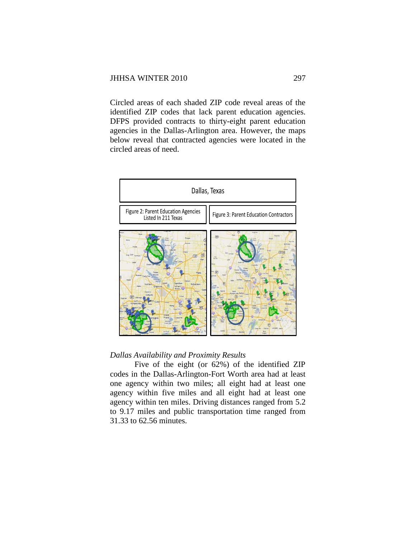Circled areas of each shaded ZIP code reveal areas of the identified ZIP codes that lack parent education agencies. DFPS provided contracts to thirty-eight parent education agencies in the Dallas-Arlington area. However, the maps below reveal that contracted agencies were located in the circled areas of need.



# *Dallas Availability and Proximity Results*

Five of the eight (or 62%) of the identified ZIP codes in the Dallas-Arlington-Fort Worth area had at least one agency within two miles; all eight had at least one agency within five miles and all eight had at least one agency within ten miles. Driving distances ranged from 5.2 to 9.17 miles and public transportation time ranged from 31.33 to 62.56 minutes.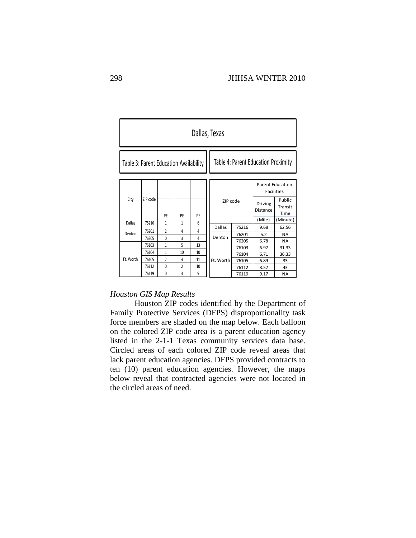| Dallas, Texas                          |          |                |                |    |                                     |       |                                              |                           |  |  |  |
|----------------------------------------|----------|----------------|----------------|----|-------------------------------------|-------|----------------------------------------------|---------------------------|--|--|--|
| Table 3: Parent Education Availability |          |                |                |    | Table 4: Parent Education Proximity |       |                                              |                           |  |  |  |
|                                        |          |                |                |    |                                     |       | <b>Parent Education</b><br><b>Facilities</b> |                           |  |  |  |
| City                                   | ZIP code | PE             | PE             | PE | ZIP code                            |       | Driving<br>Distance                          | Public<br>Transit<br>Time |  |  |  |
| Dallas                                 | 75216    | 1              | 1              | 6  |                                     |       |                                              | (Minute)                  |  |  |  |
|                                        |          | $\mathfrak z$  |                |    | <b>Dallas</b>                       | 75216 | 9.68                                         | 62.56                     |  |  |  |
| Denton                                 | 76201    |                | 4              | 4  | Denton                              | 76201 | 5.2                                          | <b>NA</b>                 |  |  |  |
|                                        | 76205    | $\mathbf{0}$   | 3              | 4  |                                     | 76205 | 6.78                                         | <b>NA</b>                 |  |  |  |
|                                        | 76103    | $\mathbf{1}$   | 5              | 13 |                                     | 76103 | 6.97                                         | 31.33                     |  |  |  |
|                                        | 76104    | $\mathbf{1}$   | 10             | 10 |                                     | 76104 | 6.71                                         | 36.33                     |  |  |  |
| Ft. Worth                              | 76105    | $\overline{2}$ | 4              | 11 | Ft. Worth                           | 76105 | 6.89                                         | 33                        |  |  |  |
|                                        | 76112    | $\mathbf{0}$   | $\overline{2}$ | 10 |                                     | 76112 | 8.52                                         | 43                        |  |  |  |
|                                        | 76119    | $\theta$       | 3              | 9  |                                     | 76119 | 9.17                                         | <b>NA</b>                 |  |  |  |

## *Houston GIS Map Results*

Houston ZIP codes identified by the Department of Family Protective Services (DFPS) disproportionality task force members are shaded on the map below. Each balloon on the colored ZIP code area is a parent education agency listed in the 2-1-1 Texas community services data base. Circled areas of each colored ZIP code reveal areas that lack parent education agencies. DFPS provided contracts to ten (10) parent education agencies. However, the maps below reveal that contracted agencies were not located in the circled areas of need.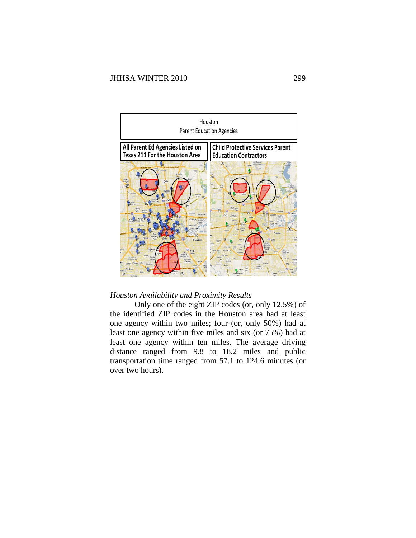

# *Houston Availability and Proximity Results*

Only one of the eight ZIP codes (or, only 12.5%) of the identified ZIP codes in the Houston area had at least one agency within two miles; four (or, only 50%) had at least one agency within five miles and six (or 75%) had at least one agency within ten miles. The average driving distance ranged from 9.8 to 18.2 miles and public transportation time ranged from 57.1 to 124.6 minutes (or over two hours).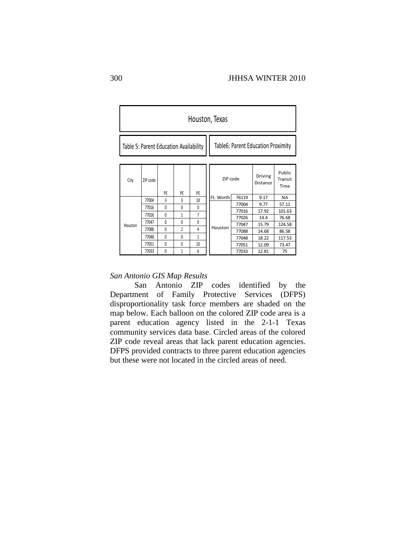| Houston, Texas                         |          |              |                |                |           |                                    |                     |                           |  |  |  |  |
|----------------------------------------|----------|--------------|----------------|----------------|-----------|------------------------------------|---------------------|---------------------------|--|--|--|--|
| Table 5: Parent Education Availability |          |              |                |                |           | Table6: Parent Education Proximity |                     |                           |  |  |  |  |
| City                                   | ZIP code | PE           | PE             | PE             | ZIP code  |                                    | Driving<br>Distance | Public<br>Transit<br>Time |  |  |  |  |
|                                        | 77004    | 3            | 3              | 10             | Ft. Worth | 76119                              | 9.17                | <b>NA</b>                 |  |  |  |  |
|                                        | 77016    | 0            | $\theta$       | $\theta$       |           | 77004                              | 9.77                | 57.11                     |  |  |  |  |
|                                        | 77026    | $\mathbf{0}$ | 1              | $\overline{7}$ |           | 77016                              | 17.92               | 101.63                    |  |  |  |  |
|                                        | 77047    | $\mathbf{0}$ | $\theta$       | $\theta$       |           | 77026                              | 14.4                | 76.68                     |  |  |  |  |
| Houston                                |          |              |                |                | Houston   | 77047                              | 15.79               | 124.58                    |  |  |  |  |
|                                        | 77088    | 0            | $\overline{2}$ | 4              |           | 77088                              | 14.68               | 86.58                     |  |  |  |  |
|                                        | 77048    | $\theta$     | $\Omega$       | 1              |           | 77048                              | 18.22               | 117.53                    |  |  |  |  |
|                                        | 77051    | 0            | $\theta$       | 10             |           | 77051                              | 12.09               | 73.47                     |  |  |  |  |
|                                        | 77033    | $\theta$     | 1              | 6              |           | 77033                              | 12.81               | 75                        |  |  |  |  |

## *San Antonio GIS Map Results*

San Antonio ZIP codes identified by the Department of Family Protective Services (DFPS) disproportionality task force members are shaded on the map below. Each balloon on the colored ZIP code area is a parent education agency listed in the 2-1-1 Texas community services data base. Circled areas of the colored ZIP code reveal areas that lack parent education agencies. DFPS provided contracts to three parent education agencies but these were not located in the circled areas of need.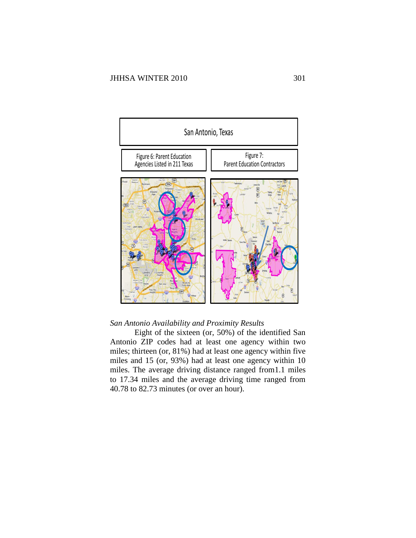

# *San Antonio Availability and Proximity Results*

Eight of the sixteen (or, 50%) of the identified San Antonio ZIP codes had at least one agency within two miles; thirteen (or, 81%) had at least one agency within five miles and 15 (or, 93%) had at least one agency within 10 miles. The average driving distance ranged from1.1 miles to 17.34 miles and the average driving time ranged from 40.78 to 82.73 minutes (or over an hour).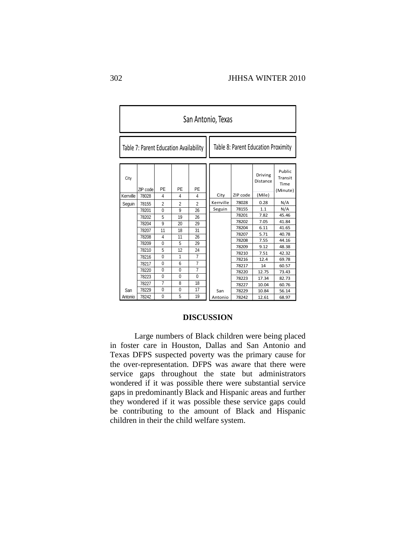| San Antonio, Texas |                                        |                         |                |                |                                     |  |                |                     |                                              |  |  |
|--------------------|----------------------------------------|-------------------------|----------------|----------------|-------------------------------------|--|----------------|---------------------|----------------------------------------------|--|--|
|                    | Table 7: Parent Education Availability |                         |                |                | Table 8: Parent Education Proximity |  |                |                     |                                              |  |  |
| City               | ZIP code                               | PE                      | PE             | PE             |                                     |  |                | Driving<br>Distance | <b>Public</b><br>Transit<br>Time<br>(Minute) |  |  |
| Kerrville          | 78028                                  | $\overline{4}$          | $\overline{4}$ | 4              | City                                |  | ZIP code       | (Mile)              |                                              |  |  |
| Sequin             | 78155                                  | $\overline{2}$          | $\overline{2}$ | $\overline{2}$ | Kerrville                           |  | 78028          | 0.28                | N/A                                          |  |  |
|                    | 78201                                  | $\Omega$                | 9              | 26             | Seguin                              |  | 78155          | 1.1                 | N/A                                          |  |  |
|                    | 78202                                  | 5                       | 19             | 26             |                                     |  | 78201          | 7.82                | 45.46                                        |  |  |
|                    | 78204                                  | 9                       | 20             | 29             |                                     |  | 78202          | 7.05                | 41.84                                        |  |  |
|                    | 78207                                  | 11                      | 18             | 31             |                                     |  | 78204          | 6.11                | 41.65                                        |  |  |
|                    | 78208                                  | $\overline{\mathbf{4}}$ | 11             | 26             |                                     |  | 78207          | 5.71                | 40.78                                        |  |  |
|                    | 78209                                  | $\Omega$                | 5              | 29             |                                     |  | 78208          | 7.55                | 44.16                                        |  |  |
|                    | 78210                                  | 5                       | 12             | 24             |                                     |  | 78209          | 9.12                | 48.38                                        |  |  |
|                    | 78216                                  | $\mathbf{0}$            | 1              | 7              |                                     |  | 78210          | 7.51                | 42.32                                        |  |  |
|                    | 78217                                  | $\Omega$                | 6              | $\overline{7}$ |                                     |  | 78216<br>78217 | 12.4<br>14          | 69.78<br>60.57                               |  |  |
|                    | 78220                                  | $\Omega$                | $\mathbf{0}$   | 7              |                                     |  | 78220          | 12.75               | 73.43                                        |  |  |
|                    | 78223                                  | $\Omega$                | $\mathbf{0}$   | $\mathbf{0}$   |                                     |  | 78223          | 17.34               | 82.73                                        |  |  |
|                    | 78227                                  | $\overline{7}$          | 8              | 18             |                                     |  | 78227          | 10.04               | 60.76                                        |  |  |
| San                | 78229                                  | $\mathbf{0}$            | 0              | 17             | San                                 |  | 78229          | 10.84               | 56.14                                        |  |  |
| Antonio            | 78242                                  | 0                       | 5              | 19             | Antonio                             |  | 78242          | 12.61               | 68.97                                        |  |  |

# **DISCUSSION**

Large numbers of Black children were being placed in foster care in Houston, Dallas and San Antonio and Texas DFPS suspected poverty was the primary cause for the over-representation. DFPS was aware that there were service gaps throughout the state but administrators wondered if it was possible there were substantial service gaps in predominantly Black and Hispanic areas and further they wondered if it was possible these service gaps could be contributing to the amount of Black and Hispanic children in their the child welfare system.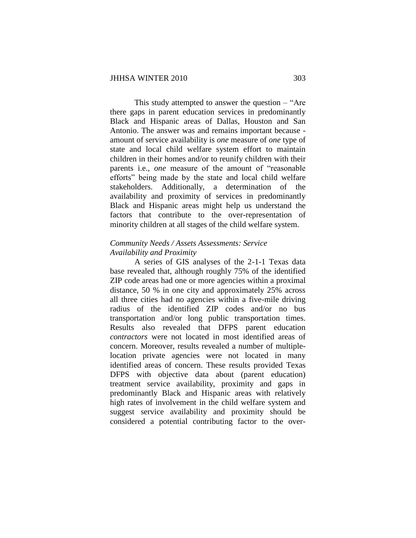This study attempted to answer the question – "Are there gaps in parent education services in predominantly Black and Hispanic areas of Dallas, Houston and San Antonio. The answer was and remains important because amount of service availability is *one* measure of *one* type of state and local child welfare system effort to maintain children in their homes and/or to reunify children with their parents i.e., *one* measure of the amount of "reasonable efforts" being made by the state and local child welfare stakeholders. Additionally, a determination of the availability and proximity of services in predominantly Black and Hispanic areas might help us understand the factors that contribute to the over-representation of minority children at all stages of the child welfare system.

# *Community Needs / Assets Assessments: Service Availability and Proximity*

A series of GIS analyses of the 2-1-1 Texas data base revealed that, although roughly 75% of the identified ZIP code areas had one or more agencies within a proximal distance, 50 % in one city and approximately 25% across all three cities had no agencies within a five-mile driving radius of the identified ZIP codes and/or no bus transportation and/or long public transportation times. Results also revealed that DFPS parent education *contractors* were not located in most identified areas of concern. Moreover, results revealed a number of multiplelocation private agencies were not located in many identified areas of concern. These results provided Texas DFPS with objective data about (parent education) treatment service availability, proximity and gaps in predominantly Black and Hispanic areas with relatively high rates of involvement in the child welfare system and suggest service availability and proximity should be considered a potential contributing factor to the over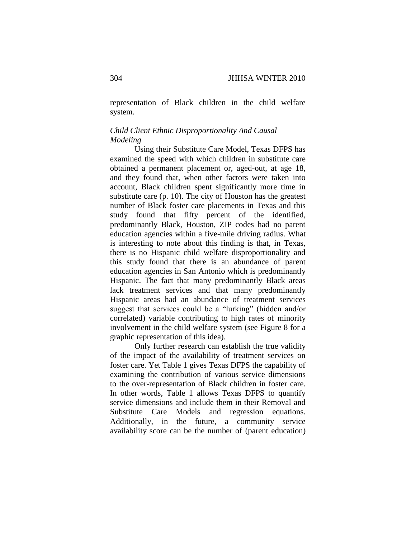representation of Black children in the child welfare system.

# *Child Client Ethnic Disproportionality And Causal Modeling*

Using their Substitute Care Model, Texas DFPS has examined the speed with which children in substitute care obtained a permanent placement or, aged-out, at age 18, and they found that, when other factors were taken into account, Black children spent significantly more time in substitute care (p. 10). The city of Houston has the greatest number of Black foster care placements in Texas and this study found that fifty percent of the identified, predominantly Black, Houston, ZIP codes had no parent education agencies within a five-mile driving radius. What is interesting to note about this finding is that, in Texas, there is no Hispanic child welfare disproportionality and this study found that there is an abundance of parent education agencies in San Antonio which is predominantly Hispanic. The fact that many predominantly Black areas lack treatment services and that many predominantly Hispanic areas had an abundance of treatment services suggest that services could be a "lurking" (hidden and/or correlated) variable contributing to high rates of minority involvement in the child welfare system (see Figure 8 for a graphic representation of this idea).

Only further research can establish the true validity of the impact of the availability of treatment services on foster care. Yet Table 1 gives Texas DFPS the capability of examining the contribution of various service dimensions to the over-representation of Black children in foster care. In other words, Table 1 allows Texas DFPS to quantify service dimensions and include them in their Removal and Substitute Care Models and regression equations. Additionally, in the future, a community service availability score can be the number of (parent education)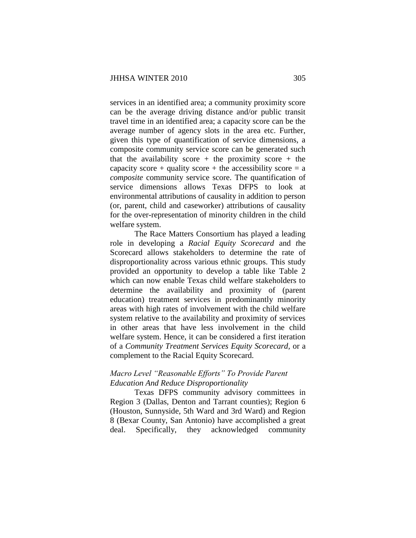services in an identified area; a community proximity score can be the average driving distance and/or public transit travel time in an identified area; a capacity score can be the average number of agency slots in the area etc. Further, given this type of quantification of service dimensions, a composite community service score can be generated such that the availability score  $+$  the proximity score  $+$  the capacity score + quality score + the accessibility score =  $a$ *composite* community service score. The quantification of service dimensions allows Texas DFPS to look at environmental attributions of causality in addition to person (or, parent, child and caseworker) attributions of causality for the over-representation of minority children in the child welfare system.

The Race Matters Consortium has played a leading role in developing a *Racial Equity Scorecard* and *t*he Scorecard allows stakeholders to determine the rate of disproportionality across various ethnic groups. This study provided an opportunity to develop a table like Table 2 which can now enable Texas child welfare stakeholders to determine the availability and proximity of (parent education) treatment services in predominantly minority areas with high rates of involvement with the child welfare system relative to the availability and proximity of services in other areas that have less involvement in the child welfare system. Hence, it can be considered a first iteration of a *Community Treatment Services Equity Scorecard,* or a complement to the Racial Equity Scorecard.

# *Macro Level "Reasonable Efforts" To Provide Parent Education And Reduce Disproportionality*

Texas DFPS community advisory committees in Region 3 (Dallas, Denton and Tarrant counties); Region 6 (Houston, Sunnyside, 5th Ward and 3rd Ward) and Region 8 (Bexar County, San Antonio) have accomplished a great deal. Specifically, they acknowledged community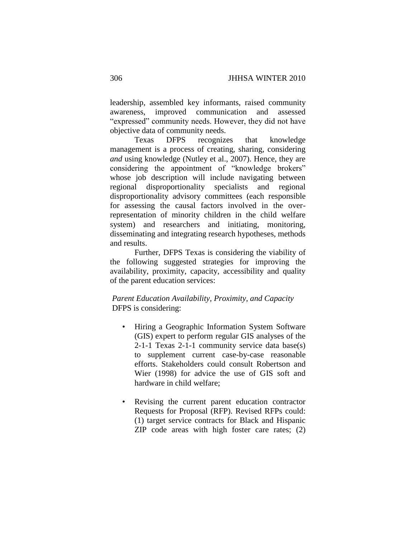leadership, assembled key informants, raised community awareness, improved communication and assessed "expressed" community needs. However, they did not have objective data of community needs.

Texas DFPS recognizes that knowledge management is a process of creating, sharing, considering *and* using knowledge (Nutley et al., 2007). Hence, they are considering the appointment of "knowledge brokers" whose job description will include navigating between regional disproportionality specialists and regional disproportionality advisory committees (each responsible for assessing the causal factors involved in the overrepresentation of minority children in the child welfare system) and researchers and initiating, monitoring, disseminating and integrating research hypotheses, methods and results.

Further, DFPS Texas is considering the viability of the following suggested strategies for improving the availability, proximity, capacity, accessibility and quality of the parent education services:

# *Parent Education Availability, Proximity, and Capacity* DFPS is considering:

- Hiring a Geographic Information System Software (GIS) expert to perform regular GIS analyses of the 2-1-1 Texas 2-1-1 community service data base(s) to supplement current case-by-case reasonable efforts. Stakeholders could consult Robertson and Wier (1998) for advice the use of GIS soft and hardware in child welfare;
- Revising the current parent education contractor Requests for Proposal (RFP). Revised RFPs could: (1) target service contracts for Black and Hispanic ZIP code areas with high foster care rates; (2)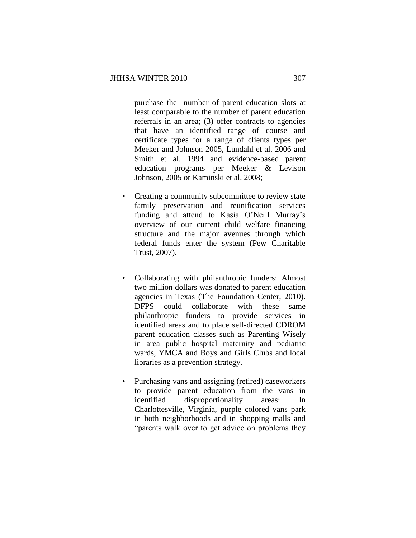purchase the number of parent education slots at least comparable to the number of parent education referrals in an area; (3) offer contracts to agencies that have an identified range of course and certificate types for a range of clients types per Meeker and Johnson 2005, Lundahl et al. 2006 and Smith et al. 1994 and evidence-based parent education programs per Meeker & Levison Johnson, 2005 or Kaminski et al. 2008;

- Creating a community subcommittee to review state family preservation and reunification services funding and attend to Kasia O'Neill Murray's overview of our current child welfare financing structure and the major avenues through which federal funds enter the system (Pew Charitable Trust, 2007).
- Collaborating with philanthropic funders: Almost two million dollars was donated to parent education agencies in Texas (The Foundation Center, 2010). DFPS could collaborate with these same philanthropic funders to provide services in identified areas and to place self-directed CDROM parent education classes such as Parenting Wisely in area public hospital maternity and pediatric wards, YMCA and Boys and Girls Clubs and local libraries as a prevention strategy.
- Purchasing vans and assigning (retired) caseworkers to provide parent education from the vans in identified disproportionality areas: In Charlottesville, Virginia, purple colored vans park in both neighborhoods and in shopping malls and "parents walk over to get advice on problems they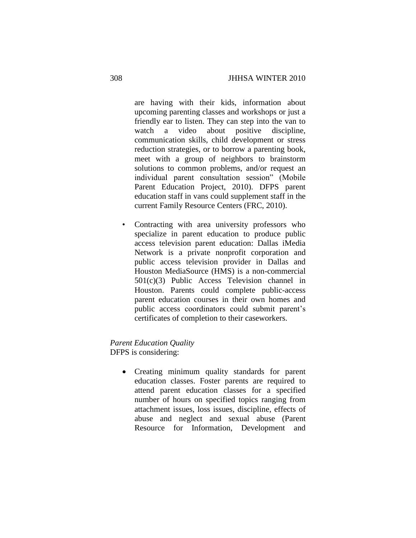are having with their kids, information about upcoming parenting classes and workshops or just a friendly ear to listen. They can step into the van to watch a video about positive discipline, communication skills, child development or stress reduction strategies, or to borrow a parenting book, meet with a group of neighbors to brainstorm solutions to common problems, and/or request an individual parent consultation session" (Mobile Parent Education Project, 2010). DFPS parent education staff in vans could supplement staff in the current Family Resource Centers (FRC, 2010).

Contracting with area university professors who specialize in parent education to produce public access television parent education: Dallas iMedia Network is a private nonprofit corporation and public access television provider in Dallas and Houston MediaSource (HMS) is a non-commercial 501(c)(3) Public Access Television channel in Houston. Parents could complete public-access parent education courses in their own homes and public access coordinators could submit parent's certificates of completion to their caseworkers.

# *Parent Education Quality* DFPS is considering:

- - Creating minimum quality standards for parent education classes. Foster parents are required to attend parent education classes for a specified number of hours on specified topics ranging from attachment issues, loss issues, discipline, effects of abuse and neglect and sexual abuse (Parent Resource for Information, Development and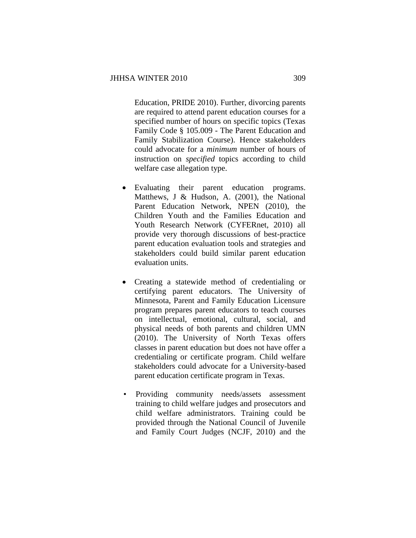Education, PRIDE 2010). Further, divorcing parents are required to attend parent education courses for a specified number of hours on specific topics (Texas Family Code § 105.009 - The Parent Education and Family Stabilization Course). Hence stakeholders could advocate for a *minimum* number of hours of instruction on *specified* topics according to child welfare case allegation type.

- Evaluating their parent education programs. Matthews, J & Hudson, A. (2001), the National Parent Education Network, NPEN (2010), the Children Youth and the Families Education and Youth Research Network (CYFERnet, 2010) all provide very thorough discussions of best-practice parent education evaluation tools and strategies and stakeholders could build similar parent education evaluation units.
- Creating a statewide method of credentialing or certifying parent educators. The University of Minnesota, Parent and Family Education Licensure program prepares parent educators to teach courses on intellectual, emotional, cultural, social, and physical needs of both parents and children UMN (2010). The University of North Texas offers classes in parent education but does not have offer a credentialing or certificate program. Child welfare stakeholders could advocate for a University-based parent education certificate program in Texas.
- Providing community needs/assets assessment training to child welfare judges and prosecutors and child welfare administrators. Training could be provided through the National Council of Juvenile and Family Court Judges (NCJF, 2010) and the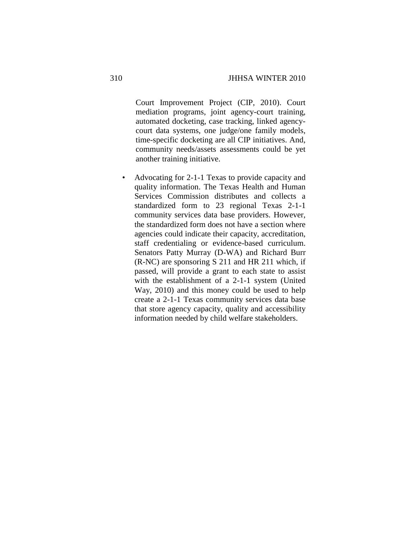Court Improvement Project (CIP, 2010). Court mediation programs, joint agency-court training, automated docketing, case tracking, linked agencycourt data systems, one judge/one family models, time-specific docketing are all CIP initiatives. And, community needs/assets assessments could be yet another training initiative.

• Advocating for 2-1-1 Texas to provide capacity and quality information. The Texas Health and Human Services Commission distributes and collects a standardized form to 23 regional Texas 2-1-1 community services data base providers. However, the standardized form does not have a section where agencies could indicate their capacity, accreditation, staff credentialing or evidence-based curriculum. Senators Patty Murray (D-WA) and Richard Burr (R-NC) are sponsoring S 211 and HR 211 which, if passed, will provide a grant to each state to assist with the establishment of a 2-1-1 system (United Way, 2010) and this money could be used to help create a 2-1-1 Texas community services data base that store agency capacity, quality and accessibility information needed by child welfare stakeholders.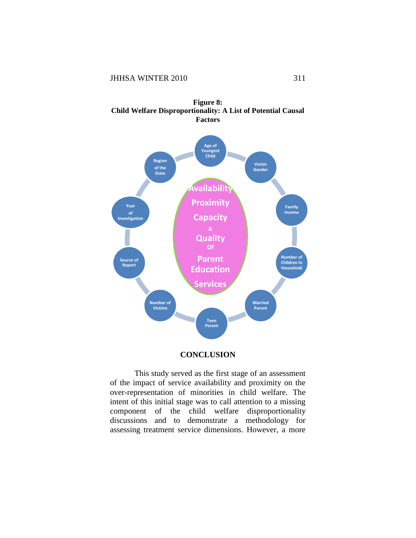



# **CONCLUSION**

This study served as the first stage of an assessment of the impact of service availability and proximity on the over-representation of minorities in child welfare. The intent of this initial stage was to call attention to a missing component of the child welfare disproportionality discussions and to demonstrate a methodology for assessing treatment service dimensions. However, a more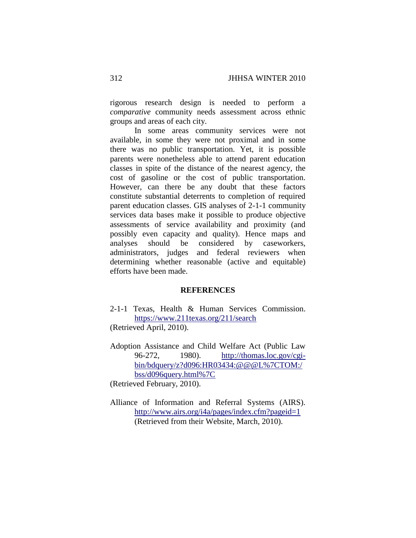rigorous research design is needed to perform a *comparative* community needs assessment across ethnic groups and areas of each city.

In some areas community services were not available, in some they were not proximal and in some there was no public transportation. Yet, it is possible parents were nonetheless able to attend parent education classes in spite of the distance of the nearest agency, the cost of gasoline or the cost of public transportation. However, can there be any doubt that these factors constitute substantial deterrents to completion of required parent education classes. GIS analyses of 2-1-1 community services data bases make it possible to produce objective assessments of service availability and proximity (and possibly even capacity and quality). Hence maps and analyses should be considered by caseworkers, administrators, judges and federal reviewers when determining whether reasonable (active and equitable) efforts have been made.

#### **REFERENCES**

- 2-1-1 Texas, Health & Human Services Commission. <https://www.211texas.org/211/search> (Retrieved April, 2010).
- Adoption Assistance and Child Welfare Act (Public Law 96-272, 1980). [http://thomas.loc.gov/cgi](http://thomas.loc.gov/cgi-bin/bdquery/z?d096:HR03434:@@@L%7CTOM:/bss/d096query.html%7C)[bin/bdquery/z?d096:HR03434:@@@L%7CTOM:/](http://thomas.loc.gov/cgi-bin/bdquery/z?d096:HR03434:@@@L%7CTOM:/bss/d096query.html%7C) [bss/d096query.html%7C](http://thomas.loc.gov/cgi-bin/bdquery/z?d096:HR03434:@@@L%7CTOM:/bss/d096query.html%7C)
- (Retrieved February, 2010).
- Alliance of Information and Referral Systems (AIRS). <http://www.airs.org/i4a/pages/index.cfm?pageid=1> (Retrieved from their Website, March, 2010).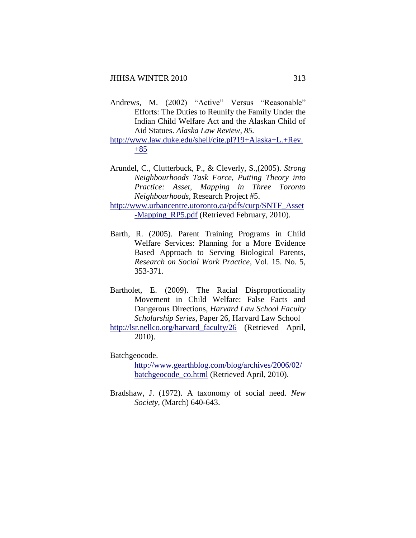- Andrews, M. (2002) "Active" Versus "Reasonable" Efforts: The Duties to Reunify the Family Under the Indian Child Welfare Act and the Alaskan Child of Aid Statues. *Alaska Law Review, 85.*
- [http://www.law.duke.edu/shell/cite.pl?19+Alaska+L.+Rev.](http://www.law.duke.edu/shell/cite.pl?19+Alaska+L.+Rev.+85)  $+85$
- Arundel, C., Clutterbuck, P., & Cleverly, S.,(2005). *Strong Neighbourhoods Task Force, Putting Theory into Practice: Asset, Mapping in Three Toronto Neighbourhoods,* Research Project #5.

[http://www.urbancentre.utoronto.ca/pdfs/curp/SNTF\\_Asset](http://www.urbancentre.utoronto.ca/pdfs/curp/SNTF_Asset-Mapping_RP5.pdf) [-Mapping\\_RP5.pdf](http://www.urbancentre.utoronto.ca/pdfs/curp/SNTF_Asset-Mapping_RP5.pdf) (Retrieved February, 2010).

- Barth, R. (2005). Parent Training Programs in Child Welfare Services: Planning for a More Evidence Based Approach to Serving Biological Parents, *Research on Social Work Practice*, Vol. 15. No. 5, 353-371.
- Bartholet, E. (2009). The Racial Disproportionality Movement in Child Welfare: False Facts and Dangerous Directions, *Harvard Law School Faculty Scholarship Series*, Paper 26, Harvard Law School
- [http://lsr.nellco.org/harvard\\_faculty/26](http://lsr.nellco.org/harvard_faculty/26) (Retrieved April, 2010).

Batchgeocode.

[http://www.gearthblog.com/blog/archives/2006/02/](http://www.gearthblog.com/blog/archives/2006/02/batchgeocode_co.html) [batchgeocode\\_co.html](http://www.gearthblog.com/blog/archives/2006/02/batchgeocode_co.html) (Retrieved April, 2010).

Bradshaw, J. (1972). A taxonomy of social need. *New Society,* (March) 640-643.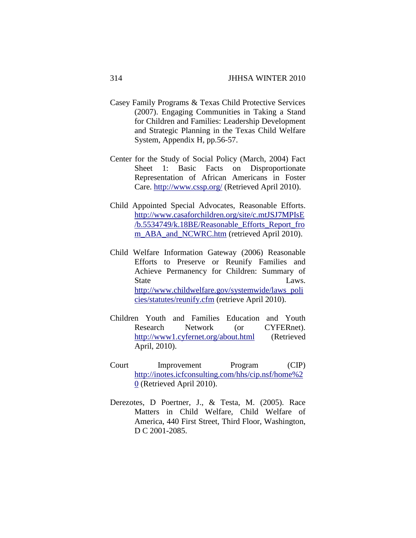- Casey Family Programs & Texas Child Protective Services (2007). Engaging Communities in Taking a Stand for Children and Families: Leadership Development and Strategic Planning in the Texas Child Welfare System, Appendix H, pp.56-57.
- Center for the Study of Social Policy (March, 2004) Fact Sheet 1: Basic Facts on Disproportionate Representation of African Americans in Foster Care.<http://www.cssp.org/> (Retrieved April 2010).
- Child Appointed Special Advocates, Reasonable Efforts. [http://www.casaforchildren.org/site/c.mtJSJ7MPIsE](http://www.casaforchildren.org/site/c.mtJSJ7MPIsE/b.5534749/k.18BE/Reasonable_Efforts_Report_from_ABA_and_NCWRC.htm) [/b.5534749/k.18BE/Reasonable\\_Efforts\\_Report\\_fro](http://www.casaforchildren.org/site/c.mtJSJ7MPIsE/b.5534749/k.18BE/Reasonable_Efforts_Report_from_ABA_and_NCWRC.htm) [m\\_ABA\\_and\\_NCWRC.htm](http://www.casaforchildren.org/site/c.mtJSJ7MPIsE/b.5534749/k.18BE/Reasonable_Efforts_Report_from_ABA_and_NCWRC.htm) (retrieved April 2010).
- Child Welfare Information Gateway (2006) Reasonable Efforts to Preserve or Reunify Families and Achieve Permanency for Children: Summary of State Laws. [http://www.childwelfare.gov/systemwide/laws\\_poli](http://www.childwelfare.gov/systemwide/laws_policies/statutes/reunify.cfm) [cies/statutes/reunify.cfm](http://www.childwelfare.gov/systemwide/laws_policies/statutes/reunify.cfm) (retrieve April 2010).
- Children Youth and Families Education and Youth Research Network (or CYFERnet). <http://www1.cyfernet.org/about.html> (Retrieved April, 2010).
- Court Improvement Program (CIP) [http://inotes.icfconsulting.com/hhs/cip.nsf/home%2](http://inotes.icfconsulting.com/hhs/cip.nsf/home) [0](http://inotes.icfconsulting.com/hhs/cip.nsf/home) (Retrieved April 2010).
- Derezotes, D Poertner, J., & Testa, M. (2005). Race Matters in Child Welfare, Child Welfare of America, 440 First Street, Third Floor, Washington, D C 2001-2085.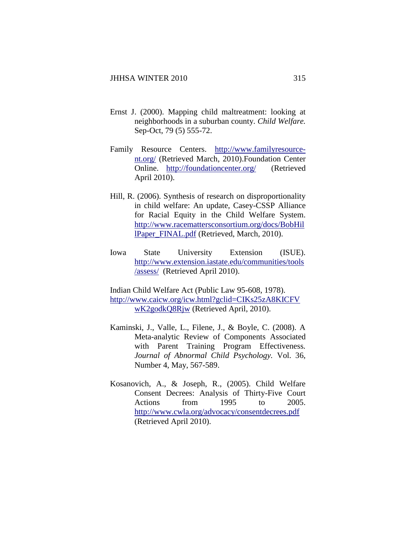- Ernst J. (2000). Mapping child maltreatment: looking at neighborhoods in a suburban county. *[Child Welfare.](javascript:AL_get(this,%20)* Sep-Oct, 79 (5) 555-72.
- Family Resource Centers. [http://www.familyresource](http://www.familyresource-nt.org/)[nt.org/](http://www.familyresource-nt.org/) (Retrieved March, 2010).Foundation Center Online. <http://foundationcenter.org/>(Retrieved April 2010).
- Hill, R. (2006). Synthesis of research on disproportionality in child welfare: An update, Casey-CSSP Alliance for Racial Equity in the Child Welfare System. [http://www.racemattersconsortium.org/docs/BobHil](http://www.racemattersconsortium.org/docs/BobHillPaper_FINAL.pdf) [lPaper\\_FINAL.pdf](http://www.racemattersconsortium.org/docs/BobHillPaper_FINAL.pdf) (Retrieved, March, 2010).
- Iowa State University Extension (ISUE). [http://www.extension.iastate.edu/communities/tools](http://www.extension.iastate.edu/communities/tools/assess/) [/assess/](http://www.extension.iastate.edu/communities/tools/assess/) (Retrieved April 2010).
- Indian Child Welfare Act (Public Law 95-608, 1978). [http://www.caicw.org/icw.html?gclid=CIKs25zA8KICFV](http://www.caicw.org/icw.html?gclid=CIKs25zA8KICFVwK2godkQ8Rjw) [wK2godkQ8Rjw](http://www.caicw.org/icw.html?gclid=CIKs25zA8KICFVwK2godkQ8Rjw) (Retrieved April, 2010).
- Kaminski, J., Valle, L., Filene, J., & Boyle, C. (2008). A Meta-analytic Review of Components Associated with Parent Training Program Effectiveness*. Journal of Abnormal Child Psychology.* Vol. 36, Number 4, May, 567-589.
- Kosanovich, A., & Joseph, R., (2005). Child Welfare Consent Decrees: Analysis of Thirty-Five Court Actions from 1995 to 2005. <http://www.cwla.org/advocacy/consentdecrees.pdf> (Retrieved April 2010).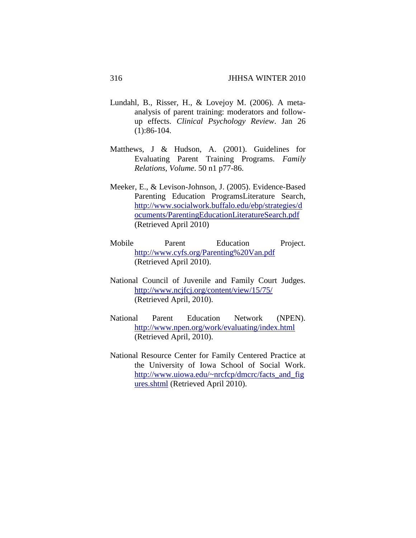- [Lundahl, B.](http://www.ncbi.nlm.nih.gov/pubmed?term=%22Lundahl%20B%22%5BAuthor%5D), [Risser, H.](http://www.ncbi.nlm.nih.gov/pubmed?term=%22Risser%20HJ%22%5BAuthor%5D), & [Lovejoy M.](http://www.ncbi.nlm.nih.gov/pubmed?term=%22Lovejoy%20MC%22%5BAuthor%5D) (2006). A metaanalysis of parent training: moderators and followup effects. *[Clinical Psychology Review](javascript:AL_get(this,%20)*. Jan 26 (1):86-104.
- Matthews, J & Hudson, A. (2001). Guidelines for Evaluating Parent Training Programs. *Family Relations, Volume*. 50 n1 p77-86.
- Meeker, E., & Levison-Johnson, J. (2005). Evidence-Based Parenting Education ProgramsLiterature Search, [http://www.socialwork.buffalo.edu/ebp/strategies/d](http://www.socialwork.buffalo.edu/ebp/strategies/documents/ParentingEducationLiteratureSearch.pdf) [ocuments/ParentingEducationLiteratureSearch.pdf](http://www.socialwork.buffalo.edu/ebp/strategies/documents/ParentingEducationLiteratureSearch.pdf) (Retrieved April 2010)
- Mobile Parent Education Project. <http://www.cyfs.org/Parenting%20Van.pdf> (Retrieved April 2010).
- National Council of Juvenile and Family Court Judges. <http://www.ncjfcj.org/content/view/15/75/> (Retrieved April, 2010).
- National Parent Education Network (NPEN). <http://www.npen.org/work/evaluating/index.html> (Retrieved April, 2010).
- National Resource Center for Family Centered Practice at the University of Iowa School of Social Work. [http://www.uiowa.edu/~nrcfcp/dmcrc/facts\\_and\\_fig](http://www.uiowa.edu/~nrcfcp/dmcrc/facts_and_figures.shtml) [ures.shtml](http://www.uiowa.edu/~nrcfcp/dmcrc/facts_and_figures.shtml) (Retrieved April 2010).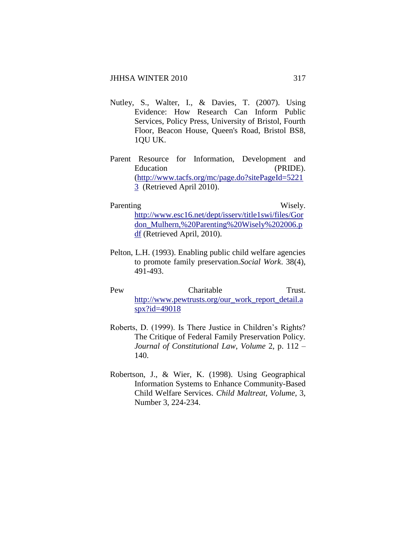- [Nutley, S., Walter, I., & Davies,](http://www.amazon.co.uk/s/ref=ntt_athr_dp_sr_1?_encoding=UTF8&search-alias=books-uk&field-author=Sandra%20M.%20Nutley%3B%20Isabel%20Walter%3B%20Huw%20T.O.%20Davies) T. (2007). Using Evidence: How Research Can Inform Public Services, Policy Press, University of Bristol, Fourth Floor, Beacon House, Queen's Road, Bristol BS8, 1QU UK.
- Parent Resource for Information, Development and Education (PRIDE). [\(http://www.tacfs.org/mc/page.do?sitePageId=5221](http://www.tacfs.org/mc/page.do?sitePageId=52213) [3](http://www.tacfs.org/mc/page.do?sitePageId=52213) (Retrieved April 2010).

#### Parenting Wisely.

[http://www.esc16.net/dept/isserv/title1swi/files/Gor](http://www.esc16.net/dept/isserv/title1swi/files/Gordon_Mulhern,%20Parenting%20Wisely%202006.pdf) [don\\_Mulhern,%20Parenting%20Wisely%202006.p](http://www.esc16.net/dept/isserv/title1swi/files/Gordon_Mulhern,%20Parenting%20Wisely%202006.pdf) [df](http://www.esc16.net/dept/isserv/title1swi/files/Gordon_Mulhern,%20Parenting%20Wisely%202006.pdf) (Retrieved April, 2010).

- Pelton, L.H. (1993). Enabling public child welfare agencies to promote family preservation.*Social Work*. 38(4), 491-493.
- Pew Charitable Trust. [http://www.pewtrusts.org/our\\_work\\_report\\_detail.a](http://www.pewtrusts.org/our_work_report_detail.aspx?id=49018) [spx?id=49018](http://www.pewtrusts.org/our_work_report_detail.aspx?id=49018)
- Roberts, D. (1999). Is There Justice in Children's Rights? The Critique of Federal Family Preservation Policy. *Journal of Constitutional Law*, *Volume* 2, p. 112 – 140.
- Robertson, J., & Wier, K. (1998). Using Geographical Information Systems to Enhance Community-Based Child Welfare Services. *Child Maltreat, Volume*, 3, Number 3, 224-234.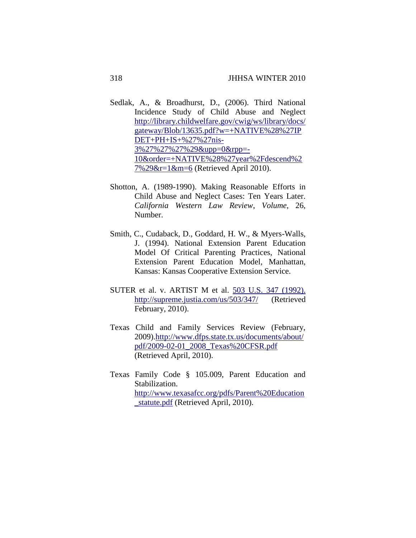- Sedlak, A., & Broadhurst, D., (2006). Third National Incidence Study of Child Abuse and Neglect [http://library.childwelfare.gov/cwig/ws/library/docs/](http://library.childwelfare.gov/cwig/ws/library/docs/gateway/Blob/13635.pdf?w=+NATIVE%28%27IPDET+PH+IS+%27%27nis-3%27%27%27%29&upp=0&rpp=-10&order=+NATIVE%28%27year%2Fdescend%27%29&r=1&m=6) [gateway/Blob/13635.pdf?w=+NATIVE%28%27IP](http://library.childwelfare.gov/cwig/ws/library/docs/gateway/Blob/13635.pdf?w=+NATIVE%28%27IPDET+PH+IS+%27%27nis-3%27%27%27%29&upp=0&rpp=-10&order=+NATIVE%28%27year%2Fdescend%27%29&r=1&m=6) [DET+PH+IS+%27%27nis-](http://library.childwelfare.gov/cwig/ws/library/docs/gateway/Blob/13635.pdf?w=+NATIVE%28%27IPDET+PH+IS+%27%27nis-3%27%27%27%29&upp=0&rpp=-10&order=+NATIVE%28%27year%2Fdescend%27%29&r=1&m=6)[3%27%27%27%29&upp=0&rpp=-](http://library.childwelfare.gov/cwig/ws/library/docs/gateway/Blob/13635.pdf?w=+NATIVE%28%27IPDET+PH+IS+%27%27nis-3%27%27%27%29&upp=0&rpp=-10&order=+NATIVE%28%27year%2Fdescend%27%29&r=1&m=6) [10&order=+NATIVE%28%27year%2Fdescend%2](http://library.childwelfare.gov/cwig/ws/library/docs/gateway/Blob/13635.pdf?w=+NATIVE%28%27IPDET+PH+IS+%27%27nis-3%27%27%27%29&upp=0&rpp=-10&order=+NATIVE%28%27year%2Fdescend%27%29&r=1&m=6) [7%29&r=1&m=6](http://library.childwelfare.gov/cwig/ws/library/docs/gateway/Blob/13635.pdf?w=+NATIVE%28%27IPDET+PH+IS+%27%27nis-3%27%27%27%29&upp=0&rpp=-10&order=+NATIVE%28%27year%2Fdescend%27%29&r=1&m=6) (Retrieved April 2010).
- Shotton, A. (1989-1990). Making Reasonable Efforts in Child Abuse and Neglect Cases: Ten Years Later. *California Western Law Review*, *Volume*, 26, Number.
- Smith, C., Cudaback, D., Goddard, H. W., & Myers-Walls, J. (1994). National Extension Parent Education Model Of Critical Parenting Practices, National Extension Parent Education Model, Manhattan, Kansas: Kansas Cooperative Extension Service.
- SUTER et al. v. ARTIST M et al. 503 U.S. 347 (1992). <http://supreme.justia.com/us/503/347/>(Retrieved February, 2010).
- Texas Child and Family Services Review (February, 2009)[.http://www.dfps.state.tx.us/documents/about/](http://www.dfps.state.tx.us/documents/about/pdf/2009-02-01_2008_Texas%20CFSR.pdf) [pdf/2009-02-01\\_2008\\_Texas%20CFSR.pdf](http://www.dfps.state.tx.us/documents/about/pdf/2009-02-01_2008_Texas%20CFSR.pdf) (Retrieved April, 2010).
- Texas Family Code § 105.009, Parent Education and Stabilization. [http://www.texasafcc.org/pdfs/Parent%20Education](http://www.texasafcc.org/pdfs/Parent%20Education_statute.pdf) [\\_statute.pdf](http://www.texasafcc.org/pdfs/Parent%20Education_statute.pdf) (Retrieved April, 2010).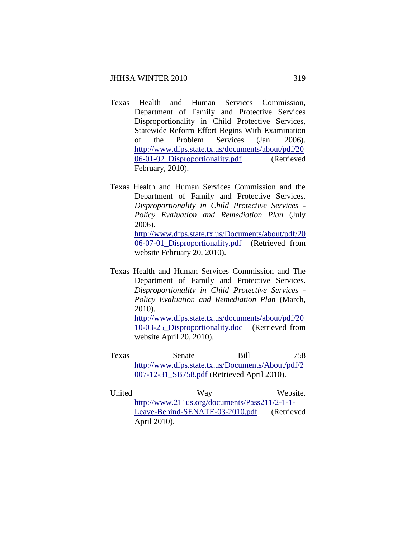- Texas Health and Human Services Commission, Department of Family and Protective Services Disproportionality in Child Protective Services, Statewide Reform Effort Begins With Examination of the Problem Services (Jan. 2006). [http://www.dfps.state.tx.us/documents/about/pdf/20](http://www.dfps.state.tx.us/documents/about/pdf/2006-01-02_Disproportionality.pdf) [06-01-02\\_Disproportionality.pdf](http://www.dfps.state.tx.us/documents/about/pdf/2006-01-02_Disproportionality.pdf) (Retrieved February, 2010).
- Texas Health and Human Services Commission and the Department of Family and Protective Services. *Disproportionality in Child Protective Services - Policy Evaluation and Remediation Plan* (July 2006). [http://www.dfps.state.tx.us/Documents/about/pdf/20](http://www.dfps.state.tx.us/Documents/about/pdf/2006-07-01_Disproportionality.pdf) [06-07-01\\_Disproportionality.pdf](http://www.dfps.state.tx.us/Documents/about/pdf/2006-07-01_Disproportionality.pdf) (Retrieved from website February 20, 2010).
- Texas Health and Human Services Commission and The Department of Family and Protective Services. *Disproportionality in Child Protective Services - Policy Evaluation and Remediation Plan* (March, 2010). [http://www.dfps.state.tx.us/documents/about/pdf/20](http://www.dfps.state.tx.us/documents/about/pdf/2010-03-25_Disproportionality.doc) [10-03-25\\_Disproportionality.doc](http://www.dfps.state.tx.us/documents/about/pdf/2010-03-25_Disproportionality.doc) (Retrieved from
- website April 20, 2010). Texas Senate Bill 758
- [http://www.dfps.state.tx.us/Documents/About/pdf/2](http://www.dfps.state.tx.us/Documents/About/pdf/2007-12-31_SB758.pdf) [007-12-31\\_SB758.pdf](http://www.dfps.state.tx.us/Documents/About/pdf/2007-12-31_SB758.pdf) (Retrieved April 2010).
- United Way Way Website. [http://www.211us.org/documents/Pass211/2-1-1-](http://www.211us.org/documents/Pass211/2-1-1-Leave-Behind-SENATE-03-2010.pdf) [Leave-Behind-SENATE-03-2010.pdf](http://www.211us.org/documents/Pass211/2-1-1-Leave-Behind-SENATE-03-2010.pdf) (Retrieved April 2010).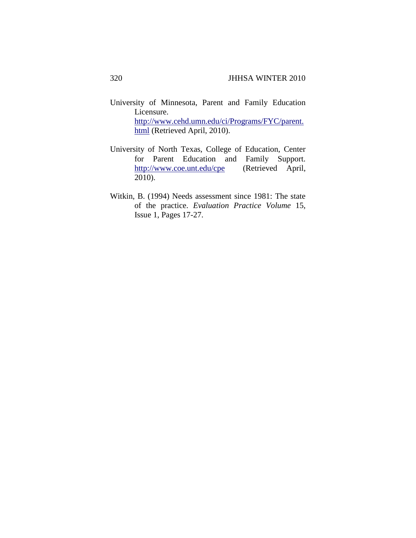- University of Minnesota, Parent and Family Education Licensure. [http://www.cehd.umn.edu/ci/Programs/FYC/parent.](http://www.cehd.umn.edu/ci/Programs/FYC/parent.html) [html](http://www.cehd.umn.edu/ci/Programs/FYC/parent.html) (Retrieved April, 2010).
- University of North Texas, College of Education, Center for Parent Education and Family Support. <http://www.coe.unt.edu/cpe>(Retrieved April, 2010).
- Witkin, B. (1994) Needs assessment since 1981: The state of the practice. *Evaluation Practice Volume* 15, Issue 1, Pages 17-27.